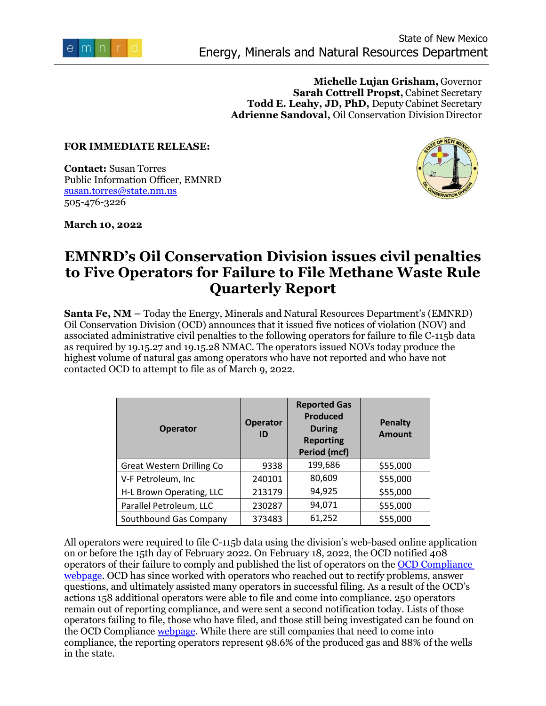

**Michelle Lujan Grisham,** Governor **Sarah Cottrell Propst,** Cabinet Secretary **Todd E. Leahy, JD, PhD,** Deputy Cabinet Secretary **Adrienne Sandoval,** Oil Conservation DivisionDirector

## **FOR IMMEDIATE RELEASE:**

**Contact:** Susan Torres Public Information Officer, EMNRD [susan.torres@state.nm.us](mailto:susan.torres@state.nm.us) 505-476-3226



**March 10, 2022**

## **EMNRD's Oil Conservation Division issues civil penalties to Five Operators for Failure to File Methane Waste Rule Quarterly Report**

**Santa Fe, NM –** Today the Energy, Minerals and Natural Resources Department's (EMNRD) Oil Conservation Division (OCD) announces that it issued five notices of violation (NOV) and associated administrative civil penalties to the following operators for failure to file C-115b data as required by 19.15.27 and 19.15.28 NMAC. The operators issued NOVs today produce the highest volume of natural gas among operators who have not reported and who have not contacted OCD to attempt to file as of March 9, 2022.

| <b>Operator</b>                  | <b>Operator</b><br>ID | <b>Reported Gas</b><br><b>Produced</b><br><b>During</b><br><b>Reporting</b><br><b>Period (mcf)</b> | <b>Penalty</b><br><b>Amount</b> |
|----------------------------------|-----------------------|----------------------------------------------------------------------------------------------------|---------------------------------|
| <b>Great Western Drilling Co</b> | 9338                  | 199,686                                                                                            | \$55,000                        |
| V-F Petroleum, Inc               | 240101                | 80,609                                                                                             | \$55,000                        |
| H-L Brown Operating, LLC         | 213179                | 94,925                                                                                             | \$55,000                        |
| Parallel Petroleum, LLC          | 230287                | 94,071                                                                                             | \$55,000                        |
| Southbound Gas Company           | 373483                | 61,252                                                                                             | \$55,000                        |

All operators were required to file C-115b data using the division's web-based online application on or before the 15th day of February 2022. On February 18, 2022, the OCD notified 408 operators of their failure to comply and published the list of operators on the [OCD Compliance](https://www.emnrd.nm.gov/ocd/compliance/)  [webpage.](https://www.emnrd.nm.gov/ocd/compliance/) OCD has since worked with operators who reached out to rectify problems, answer questions, and ultimately assisted many operators in successful filing. As a result of the OCD's actions 158 additional operators were able to file and come into compliance. 250 operators remain out of reporting compliance, and were sent a second notification today. Lists of those operators failing to file, those who have filed, and those still being investigated can be found on the OCD Complianc[e webpage.](https://www.emnrd.nm.gov/ocd/compliance/) While there are still companies that need to come into compliance, the reporting operators represent 98.6% of the produced gas and 88% of the wells in the state.